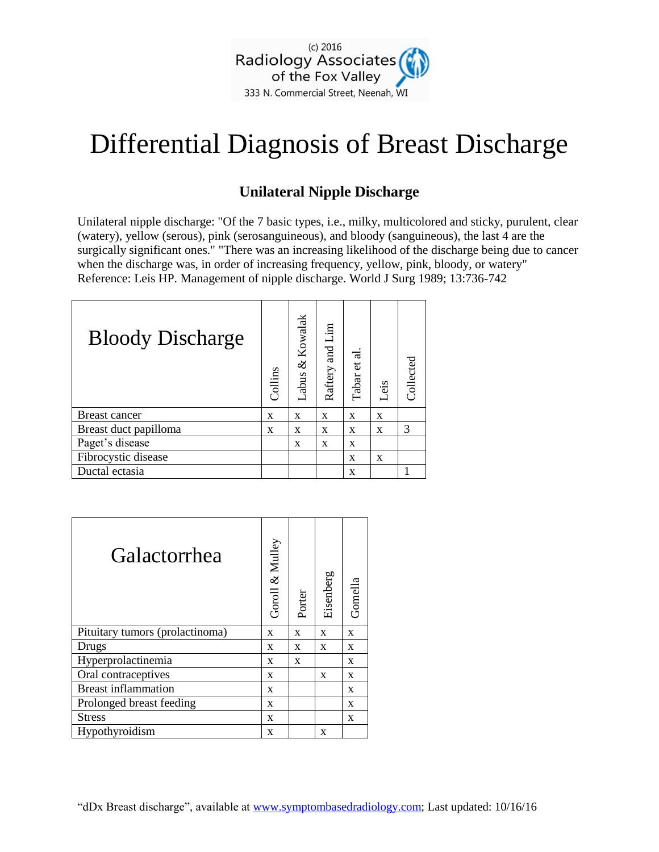

## Differential Diagnosis of Breast Discharge

## **Unilateral Nipple Discharge**

Unilateral nipple discharge: "Of the 7 basic types, i.e., milky, multicolored and sticky, purulent, clear (watery), yellow (serous), pink (serosanguineous), and bloody (sanguineous), the last 4 are the surgically significant ones." "There was an increasing likelihood of the discharge being due to cancer when the discharge was, in order of increasing frequency, yellow, pink, bloody, or watery" Reference: Leis HP. Management of nipple discharge. World J Surg 1989; 13:736-742

| <b>Bloody Discharge</b> | Collins | & Kowalak<br>Labus | Raftery and Lim | Tabar et al | Leis | Collected |
|-------------------------|---------|--------------------|-----------------|-------------|------|-----------|
| Breast cancer           | X       | X                  | X               | X           | X    |           |
| Breast duct papilloma   | X       | X                  | X               | X           | X    | 3         |
| Paget's disease         |         | $\mathbf{x}$       | X               | X           |      |           |
| Fibrocystic disease     |         |                    |                 | X           | X    |           |
| Ductal ectasia          |         |                    |                 | X           |      |           |

| Galactorrhea                    | Goroll & Mulley | Porter | Eisenberg | Gomella      |
|---------------------------------|-----------------|--------|-----------|--------------|
| Pituitary tumors (prolactinoma) | X               | X      | X         | $\mathbf{x}$ |
| Drugs                           | X               | X      | X         | X            |
| Hyperprolactinemia              | X               | X      |           | X            |
| Oral contraceptives             | X               |        | X         | X            |
| <b>Breast inflammation</b>      | X               |        |           | X            |
| Prolonged breast feeding        | X               |        |           | X            |
| <b>Stress</b>                   | X               |        |           | X            |
| Hypothyroidism                  | X               |        | X         |              |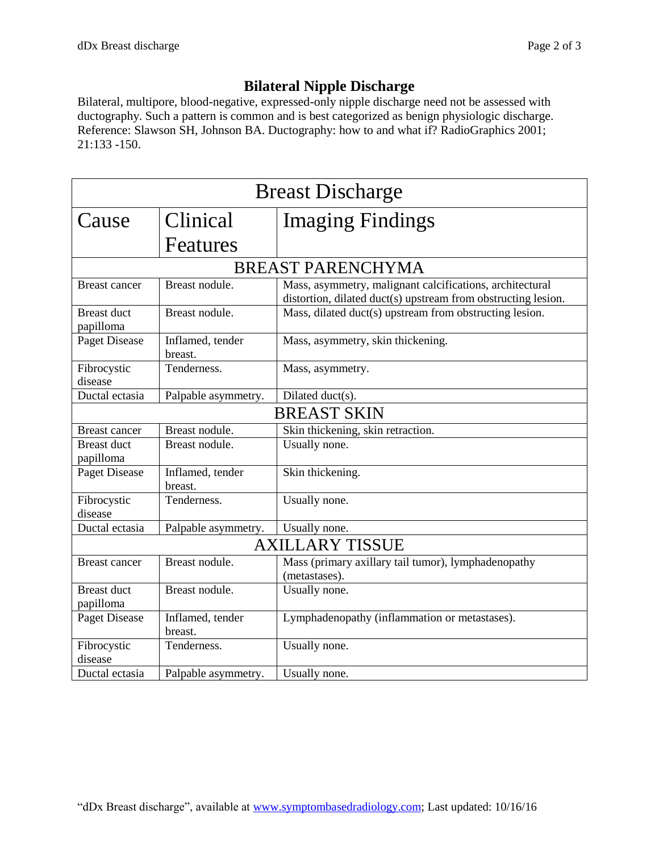## **Bilateral Nipple Discharge**

Bilateral, multipore, blood-negative, expressed-only nipple discharge need not be assessed with ductography. Such a pattern is common and is best categorized as benign physiologic discharge. Reference: Slawson SH, Johnson BA. Ductography: how to and what if? RadioGraphics 2001; 21:133 -150.

| <b>Breast Discharge</b>         |                             |                                                                                                                           |  |  |
|---------------------------------|-----------------------------|---------------------------------------------------------------------------------------------------------------------------|--|--|
| Cause                           | Clinical                    | <b>Imaging Findings</b>                                                                                                   |  |  |
|                                 | Features                    |                                                                                                                           |  |  |
| <b>BREAST PARENCHYMA</b>        |                             |                                                                                                                           |  |  |
| <b>Breast cancer</b>            | Breast nodule.              | Mass, asymmetry, malignant calcifications, architectural<br>distortion, dilated duct(s) upstream from obstructing lesion. |  |  |
| <b>Breast duct</b><br>papilloma | Breast nodule.              | Mass, dilated duct(s) upstream from obstructing lesion.                                                                   |  |  |
| <b>Paget Disease</b>            | Inflamed, tender<br>breast. | Mass, asymmetry, skin thickening.                                                                                         |  |  |
| Fibrocystic<br>disease          | Tenderness.                 | Mass, asymmetry.                                                                                                          |  |  |
| Ductal ectasia                  | Palpable asymmetry.         | $\overline{\text{Dilated}}$ duct(s).                                                                                      |  |  |
| <b>BREAST SKIN</b>              |                             |                                                                                                                           |  |  |
| <b>Breast cancer</b>            | Breast nodule.              | Skin thickening, skin retraction.                                                                                         |  |  |
| <b>Breast duct</b><br>papilloma | Breast nodule.              | Usually none.                                                                                                             |  |  |
| Paget Disease                   | Inflamed, tender<br>breast. | Skin thickening.                                                                                                          |  |  |
| Fibrocystic<br>disease          | Tenderness.                 | Usually none.                                                                                                             |  |  |
| Ductal ectasia                  | Palpable asymmetry.         | Usually none.                                                                                                             |  |  |
| <b>AXILLARY TISSUE</b>          |                             |                                                                                                                           |  |  |
| <b>Breast cancer</b>            | Breast nodule.              | Mass (primary axillary tail tumor), lymphadenopathy<br>(metastases).                                                      |  |  |
| <b>Breast duct</b><br>papilloma | Breast nodule.              | Usually none.                                                                                                             |  |  |
| <b>Paget Disease</b>            | Inflamed, tender<br>breast. | Lymphadenopathy (inflammation or metastases).                                                                             |  |  |
| Fibrocystic<br>disease          | Tenderness.                 | Usually none.                                                                                                             |  |  |
| Ductal ectasia                  | Palpable asymmetry.         | Usually none.                                                                                                             |  |  |